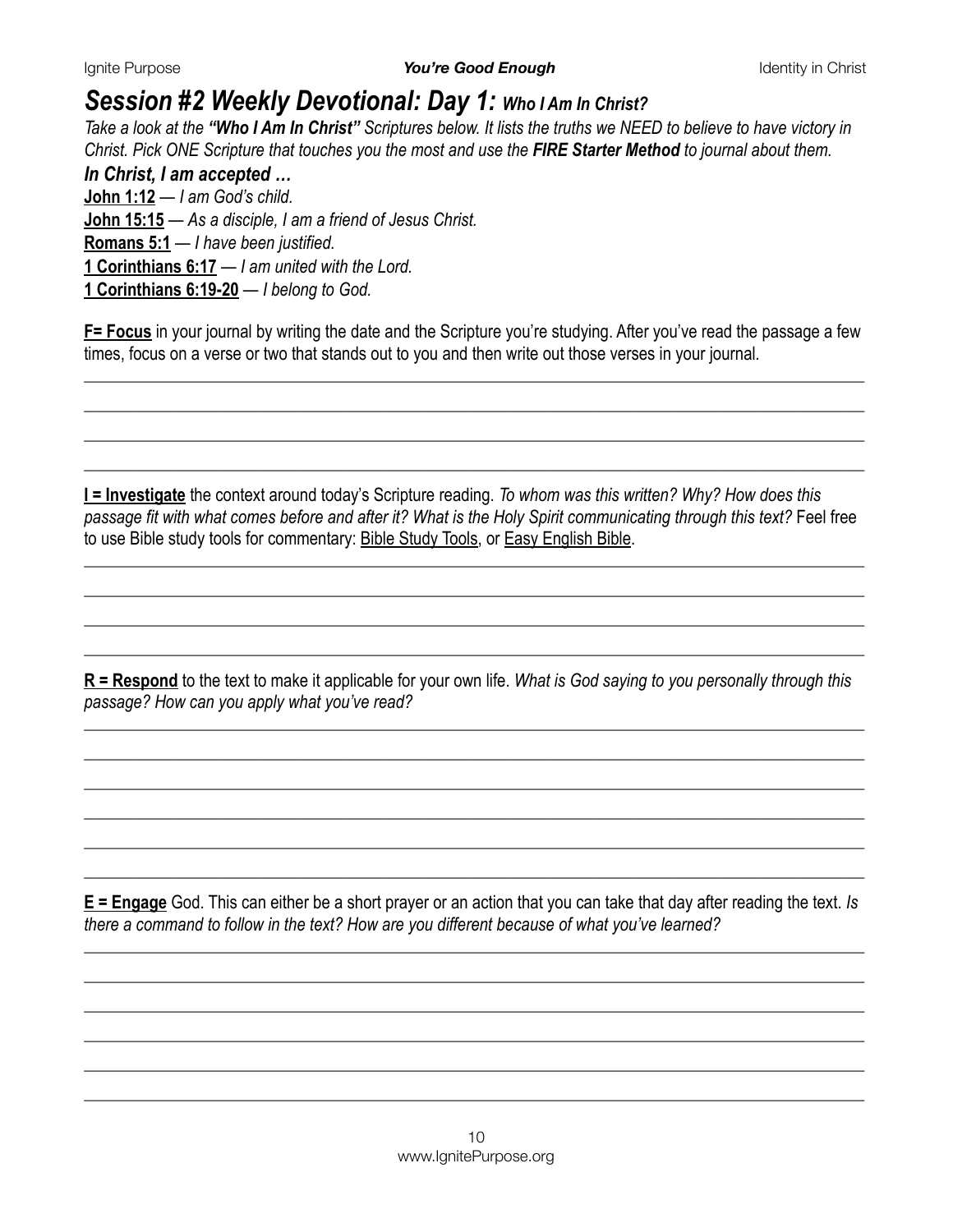### *Session #2 Weekly Devotional: Day 1: Who I Am In Christ?*

*Take a look at the "Who I Am In Christ" Scriptures below. It lists the truths we NEED to believe to have victory in Christ. Pick ONE Scripture that touches you the most and use the FIRE Starter Method to journal about them.* 

#### *In Christ, I am accepted …*

**[John 1:12](https://www.biblegateway.com/passage/?search=John+1%3A12&version=NIV)** — *I am God's child.*  **[John 15:15](https://www.biblegateway.com/passage/?search=John+15%3A15&version=NIV)** — *As a disciple, I am a friend of Jesus Christ.*  **[Romans 5:1](https://www.biblegateway.com/passage/?search=Romans+5%3A1&version=NIV)** — *I have been justified.*  **[1 Corinthians 6:17](https://www.biblegateway.com/passage/?search=1+Corinthians+6%3A17&version=NIV)** — *I am united with the Lord.*  **[1 Corinthians 6:19-20](https://www.biblegateway.com/passage/?search=1+Corinthians+6%3A19-20&version=NIV)** — *I belong to God.*

**F= Focus** in your journal by writing the date and the Scripture you're studying. After you've read the passage a few times, focus on a verse or two that stands out to you and then write out those verses in your journal*.*

*\_\_\_\_\_\_\_\_\_\_\_\_\_\_\_\_\_\_\_\_\_\_\_\_\_\_\_\_\_\_\_\_\_\_\_\_\_\_\_\_\_\_\_\_\_\_\_\_\_\_\_\_\_\_\_\_\_\_\_\_\_\_\_\_\_\_\_\_\_\_\_\_\_\_\_\_\_\_\_\_\_\_\_\_\_\_\_\_\_\_\_\_\_\_\_\_\_\_\_\_ \_\_\_\_\_\_\_\_\_\_\_\_\_\_\_\_\_\_\_\_\_\_\_\_\_\_\_\_\_\_\_\_\_\_\_\_\_\_\_\_\_\_\_\_\_\_\_\_\_\_\_\_\_\_\_\_\_\_\_\_\_\_\_\_\_\_\_\_\_\_\_\_\_\_\_\_\_\_\_\_\_\_\_\_\_\_\_\_\_\_\_\_\_\_\_\_\_\_\_\_ \_\_\_\_\_\_\_\_\_\_\_\_\_\_\_\_\_\_\_\_\_\_\_\_\_\_\_\_\_\_\_\_\_\_\_\_\_\_\_\_\_\_\_\_\_\_\_\_\_\_\_\_\_\_\_\_\_\_\_\_\_\_\_\_\_\_\_\_\_\_\_\_\_\_\_\_\_\_\_\_\_\_\_\_\_\_\_\_\_\_\_\_\_\_\_\_\_\_\_\_ \_\_\_\_\_\_\_\_\_\_\_\_\_\_\_\_\_\_\_\_\_\_\_\_\_\_\_\_\_\_\_\_\_\_\_\_\_\_\_\_\_\_\_\_\_\_\_\_\_\_\_\_\_\_\_\_\_\_\_\_\_\_\_\_\_\_\_\_\_\_\_\_\_\_\_\_\_\_\_\_\_\_\_\_\_\_\_\_\_\_\_\_\_\_\_\_\_\_\_\_* 

**I = Investigate** the context around today's Scripture reading. *To whom was this written? Why? How does this passage fit with what comes before and after it? What is the Holy Spirit communicating through this text?* Feel free to use Bible study tools for commentary: [Bible Study Tools](https://www.biblestudytools.com/), or [Easy English Bible.](https://www.easyenglish.bible/)

*\_\_\_\_\_\_\_\_\_\_\_\_\_\_\_\_\_\_\_\_\_\_\_\_\_\_\_\_\_\_\_\_\_\_\_\_\_\_\_\_\_\_\_\_\_\_\_\_\_\_\_\_\_\_\_\_\_\_\_\_\_\_\_\_\_\_\_\_\_\_\_\_\_\_\_\_\_\_\_\_\_\_\_\_\_\_\_\_\_\_\_\_\_\_\_\_\_\_\_\_ \_\_\_\_\_\_\_\_\_\_\_\_\_\_\_\_\_\_\_\_\_\_\_\_\_\_\_\_\_\_\_\_\_\_\_\_\_\_\_\_\_\_\_\_\_\_\_\_\_\_\_\_\_\_\_\_\_\_\_\_\_\_\_\_\_\_\_\_\_\_\_\_\_\_\_\_\_\_\_\_\_\_\_\_\_\_\_\_\_\_\_\_\_\_\_\_\_\_\_\_ \_\_\_\_\_\_\_\_\_\_\_\_\_\_\_\_\_\_\_\_\_\_\_\_\_\_\_\_\_\_\_\_\_\_\_\_\_\_\_\_\_\_\_\_\_\_\_\_\_\_\_\_\_\_\_\_\_\_\_\_\_\_\_\_\_\_\_\_\_\_\_\_\_\_\_\_\_\_\_\_\_\_\_\_\_\_\_\_\_\_\_\_\_\_\_\_\_\_\_\_ \_\_\_\_\_\_\_\_\_\_\_\_\_\_\_\_\_\_\_\_\_\_\_\_\_\_\_\_\_\_\_\_\_\_\_\_\_\_\_\_\_\_\_\_\_\_\_\_\_\_\_\_\_\_\_\_\_\_\_\_\_\_\_\_\_\_\_\_\_\_\_\_\_\_\_\_\_\_\_\_\_\_\_\_\_\_\_\_\_\_\_\_\_\_\_\_\_\_\_\_* 

**R = Respond** to the text to make it applicable for your own life. *What is God saying to you personally through this passage? How can you apply what you've read?* 

*\_\_\_\_\_\_\_\_\_\_\_\_\_\_\_\_\_\_\_\_\_\_\_\_\_\_\_\_\_\_\_\_\_\_\_\_\_\_\_\_\_\_\_\_\_\_\_\_\_\_\_\_\_\_\_\_\_\_\_\_\_\_\_\_\_\_\_\_\_\_\_\_\_\_\_\_\_\_\_\_\_\_\_\_\_\_\_\_\_\_\_\_\_\_\_\_\_\_\_\_ \_\_\_\_\_\_\_\_\_\_\_\_\_\_\_\_\_\_\_\_\_\_\_\_\_\_\_\_\_\_\_\_\_\_\_\_\_\_\_\_\_\_\_\_\_\_\_\_\_\_\_\_\_\_\_\_\_\_\_\_\_\_\_\_\_\_\_\_\_\_\_\_\_\_\_\_\_\_\_\_\_\_\_\_\_\_\_\_\_\_\_\_\_\_\_\_\_\_\_\_ \_\_\_\_\_\_\_\_\_\_\_\_\_\_\_\_\_\_\_\_\_\_\_\_\_\_\_\_\_\_\_\_\_\_\_\_\_\_\_\_\_\_\_\_\_\_\_\_\_\_\_\_\_\_\_\_\_\_\_\_\_\_\_\_\_\_\_\_\_\_\_\_\_\_\_\_\_\_\_\_\_\_\_\_\_\_\_\_\_\_\_\_\_\_\_\_\_\_\_\_ \_\_\_\_\_\_\_\_\_\_\_\_\_\_\_\_\_\_\_\_\_\_\_\_\_\_\_\_\_\_\_\_\_\_\_\_\_\_\_\_\_\_\_\_\_\_\_\_\_\_\_\_\_\_\_\_\_\_\_\_\_\_\_\_\_\_\_\_\_\_\_\_\_\_\_\_\_\_\_\_\_\_\_\_\_\_\_\_\_\_\_\_\_\_\_\_\_\_\_\_ \_\_\_\_\_\_\_\_\_\_\_\_\_\_\_\_\_\_\_\_\_\_\_\_\_\_\_\_\_\_\_\_\_\_\_\_\_\_\_\_\_\_\_\_\_\_\_\_\_\_\_\_\_\_\_\_\_\_\_\_\_\_\_\_\_\_\_\_\_\_\_\_\_\_\_\_\_\_\_\_\_\_\_\_\_\_\_\_\_\_\_\_\_\_\_\_\_\_\_\_ \_\_\_\_\_\_\_\_\_\_\_\_\_\_\_\_\_\_\_\_\_\_\_\_\_\_\_\_\_\_\_\_\_\_\_\_\_\_\_\_\_\_\_\_\_\_\_\_\_\_\_\_\_\_\_\_\_\_\_\_\_\_\_\_\_\_\_\_\_\_\_\_\_\_\_\_\_\_\_\_\_\_\_\_\_\_\_\_\_\_\_\_\_\_\_\_\_\_\_\_* 

**E = Engage** God. This can either be a short prayer or an action that you can take that day after reading the text. *Is there a command to follow in the text? How are you different because of what you've learned?*

*\_\_\_\_\_\_\_\_\_\_\_\_\_\_\_\_\_\_\_\_\_\_\_\_\_\_\_\_\_\_\_\_\_\_\_\_\_\_\_\_\_\_\_\_\_\_\_\_\_\_\_\_\_\_\_\_\_\_\_\_\_\_\_\_\_\_\_\_\_\_\_\_\_\_\_\_\_\_\_\_\_\_\_\_\_\_\_\_\_\_\_\_\_\_\_\_\_\_\_\_ \_\_\_\_\_\_\_\_\_\_\_\_\_\_\_\_\_\_\_\_\_\_\_\_\_\_\_\_\_\_\_\_\_\_\_\_\_\_\_\_\_\_\_\_\_\_\_\_\_\_\_\_\_\_\_\_\_\_\_\_\_\_\_\_\_\_\_\_\_\_\_\_\_\_\_\_\_\_\_\_\_\_\_\_\_\_\_\_\_\_\_\_\_\_\_\_\_\_\_\_ \_\_\_\_\_\_\_\_\_\_\_\_\_\_\_\_\_\_\_\_\_\_\_\_\_\_\_\_\_\_\_\_\_\_\_\_\_\_\_\_\_\_\_\_\_\_\_\_\_\_\_\_\_\_\_\_\_\_\_\_\_\_\_\_\_\_\_\_\_\_\_\_\_\_\_\_\_\_\_\_\_\_\_\_\_\_\_\_\_\_\_\_\_\_\_\_\_\_\_\_ \_\_\_\_\_\_\_\_\_\_\_\_\_\_\_\_\_\_\_\_\_\_\_\_\_\_\_\_\_\_\_\_\_\_\_\_\_\_\_\_\_\_\_\_\_\_\_\_\_\_\_\_\_\_\_\_\_\_\_\_\_\_\_\_\_\_\_\_\_\_\_\_\_\_\_\_\_\_\_\_\_\_\_\_\_\_\_\_\_\_\_\_\_\_\_\_\_\_\_\_ \_\_\_\_\_\_\_\_\_\_\_\_\_\_\_\_\_\_\_\_\_\_\_\_\_\_\_\_\_\_\_\_\_\_\_\_\_\_\_\_\_\_\_\_\_\_\_\_\_\_\_\_\_\_\_\_\_\_\_\_\_\_\_\_\_\_\_\_\_\_\_\_\_\_\_\_\_\_\_\_\_\_\_\_\_\_\_\_\_\_\_\_\_\_\_\_\_\_\_\_ \_\_\_\_\_\_\_\_\_\_\_\_\_\_\_\_\_\_\_\_\_\_\_\_\_\_\_\_\_\_\_\_\_\_\_\_\_\_\_\_\_\_\_\_\_\_\_\_\_\_\_\_\_\_\_\_\_\_\_\_\_\_\_\_\_\_\_\_\_\_\_\_\_\_\_\_\_\_\_\_\_\_\_\_\_\_\_\_\_\_\_\_\_\_\_\_\_\_\_\_*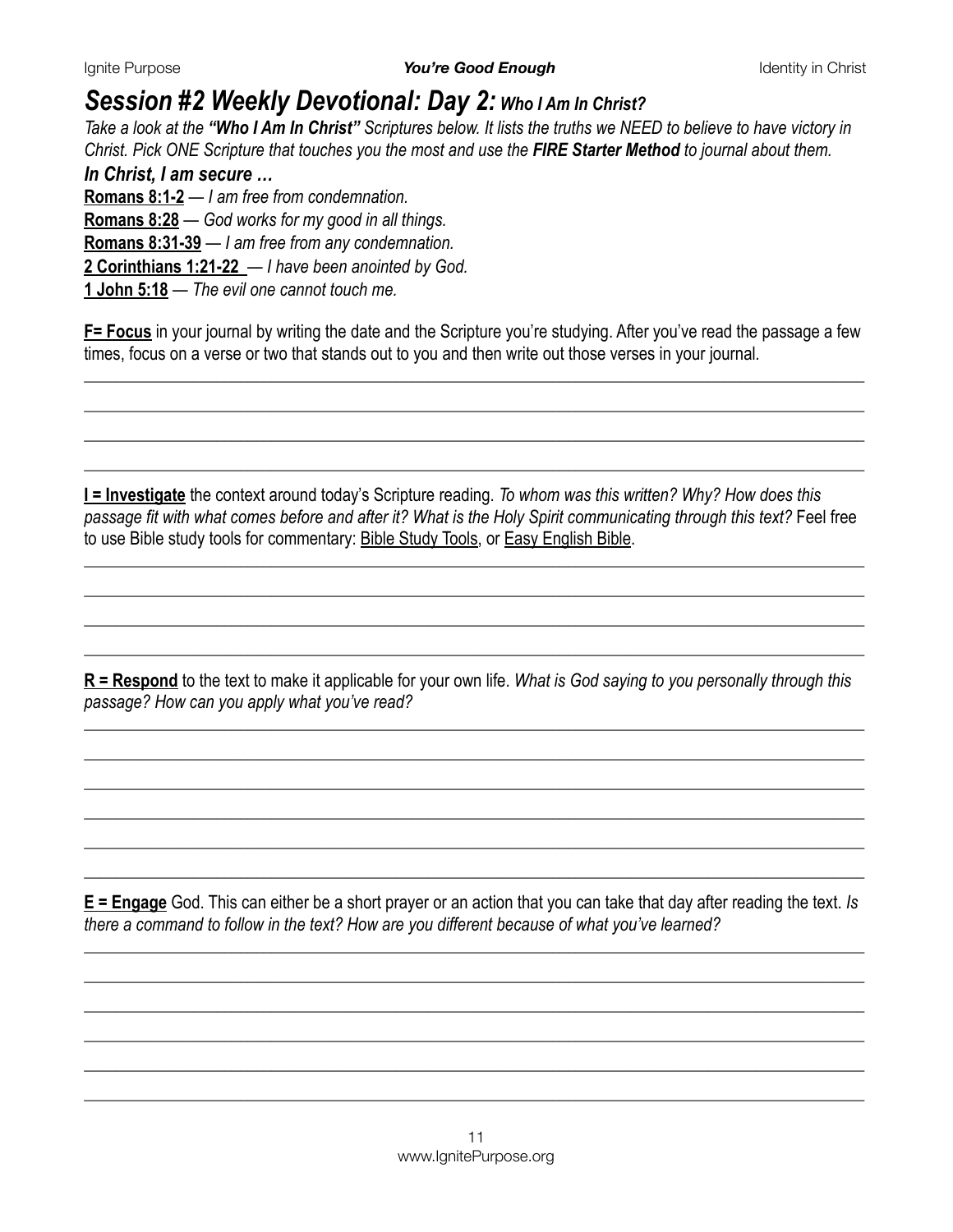## *Session #2 Weekly Devotional: Day 2: Who I Am In Christ?*

*Take a look at the "Who I Am In Christ" Scriptures below. It lists the truths we NEED to believe to have victory in Christ. Pick ONE Scripture that touches you the most and use the FIRE Starter Method to journal about them.* 

*In Christ, I am secure …* **[Romans 8:1-2](https://www.biblegateway.com/passage/?search=Romans+8%3A1-2&version=NIV)** — *I am free from condemnation.*  **[Romans 8:28](https://www.biblegateway.com/passage/?search=Romans+8%3A28&version=NIV)** — *God works for my good in all things.*  **[Romans 8:31-39](https://www.biblegateway.com/passage/?search=Romans+8%3A31-39&version=NIV)** — *I am free from any condemnation.*  **[2 Corinthians 1:21-22](https://www.biblegateway.com/passage/?search=2+Corinthians+1%3A21-22&version=NIV)** — *I have been anointed by God.*  **[1 John 5:18](https://www.biblegateway.com/passage/?search=1+John+5%3A18&version=NIV)** — *The evil one cannot touch me.*

**F= Focus** in your journal by writing the date and the Scripture you're studying. After you've read the passage a few times, focus on a verse or two that stands out to you and then write out those verses in your journal*.*

*\_\_\_\_\_\_\_\_\_\_\_\_\_\_\_\_\_\_\_\_\_\_\_\_\_\_\_\_\_\_\_\_\_\_\_\_\_\_\_\_\_\_\_\_\_\_\_\_\_\_\_\_\_\_\_\_\_\_\_\_\_\_\_\_\_\_\_\_\_\_\_\_\_\_\_\_\_\_\_\_\_\_\_\_\_\_\_\_\_\_\_\_\_\_\_\_\_\_\_\_ \_\_\_\_\_\_\_\_\_\_\_\_\_\_\_\_\_\_\_\_\_\_\_\_\_\_\_\_\_\_\_\_\_\_\_\_\_\_\_\_\_\_\_\_\_\_\_\_\_\_\_\_\_\_\_\_\_\_\_\_\_\_\_\_\_\_\_\_\_\_\_\_\_\_\_\_\_\_\_\_\_\_\_\_\_\_\_\_\_\_\_\_\_\_\_\_\_\_\_\_ \_\_\_\_\_\_\_\_\_\_\_\_\_\_\_\_\_\_\_\_\_\_\_\_\_\_\_\_\_\_\_\_\_\_\_\_\_\_\_\_\_\_\_\_\_\_\_\_\_\_\_\_\_\_\_\_\_\_\_\_\_\_\_\_\_\_\_\_\_\_\_\_\_\_\_\_\_\_\_\_\_\_\_\_\_\_\_\_\_\_\_\_\_\_\_\_\_\_\_\_ \_\_\_\_\_\_\_\_\_\_\_\_\_\_\_\_\_\_\_\_\_\_\_\_\_\_\_\_\_\_\_\_\_\_\_\_\_\_\_\_\_\_\_\_\_\_\_\_\_\_\_\_\_\_\_\_\_\_\_\_\_\_\_\_\_\_\_\_\_\_\_\_\_\_\_\_\_\_\_\_\_\_\_\_\_\_\_\_\_\_\_\_\_\_\_\_\_\_\_\_* 

**I = Investigate** the context around today's Scripture reading. *To whom was this written? Why? How does this passage fit with what comes before and after it? What is the Holy Spirit communicating through this text?* Feel free to use Bible study tools for commentary: [Bible Study Tools](https://www.biblestudytools.com/), or [Easy English Bible.](https://www.easyenglish.bible/)

*\_\_\_\_\_\_\_\_\_\_\_\_\_\_\_\_\_\_\_\_\_\_\_\_\_\_\_\_\_\_\_\_\_\_\_\_\_\_\_\_\_\_\_\_\_\_\_\_\_\_\_\_\_\_\_\_\_\_\_\_\_\_\_\_\_\_\_\_\_\_\_\_\_\_\_\_\_\_\_\_\_\_\_\_\_\_\_\_\_\_\_\_\_\_\_\_\_\_\_\_ \_\_\_\_\_\_\_\_\_\_\_\_\_\_\_\_\_\_\_\_\_\_\_\_\_\_\_\_\_\_\_\_\_\_\_\_\_\_\_\_\_\_\_\_\_\_\_\_\_\_\_\_\_\_\_\_\_\_\_\_\_\_\_\_\_\_\_\_\_\_\_\_\_\_\_\_\_\_\_\_\_\_\_\_\_\_\_\_\_\_\_\_\_\_\_\_\_\_\_\_ \_\_\_\_\_\_\_\_\_\_\_\_\_\_\_\_\_\_\_\_\_\_\_\_\_\_\_\_\_\_\_\_\_\_\_\_\_\_\_\_\_\_\_\_\_\_\_\_\_\_\_\_\_\_\_\_\_\_\_\_\_\_\_\_\_\_\_\_\_\_\_\_\_\_\_\_\_\_\_\_\_\_\_\_\_\_\_\_\_\_\_\_\_\_\_\_\_\_\_\_ \_\_\_\_\_\_\_\_\_\_\_\_\_\_\_\_\_\_\_\_\_\_\_\_\_\_\_\_\_\_\_\_\_\_\_\_\_\_\_\_\_\_\_\_\_\_\_\_\_\_\_\_\_\_\_\_\_\_\_\_\_\_\_\_\_\_\_\_\_\_\_\_\_\_\_\_\_\_\_\_\_\_\_\_\_\_\_\_\_\_\_\_\_\_\_\_\_\_\_\_* 

**R = Respond** to the text to make it applicable for your own life. *What is God saying to you personally through this passage? How can you apply what you've read?* 

*\_\_\_\_\_\_\_\_\_\_\_\_\_\_\_\_\_\_\_\_\_\_\_\_\_\_\_\_\_\_\_\_\_\_\_\_\_\_\_\_\_\_\_\_\_\_\_\_\_\_\_\_\_\_\_\_\_\_\_\_\_\_\_\_\_\_\_\_\_\_\_\_\_\_\_\_\_\_\_\_\_\_\_\_\_\_\_\_\_\_\_\_\_\_\_\_\_\_\_\_ \_\_\_\_\_\_\_\_\_\_\_\_\_\_\_\_\_\_\_\_\_\_\_\_\_\_\_\_\_\_\_\_\_\_\_\_\_\_\_\_\_\_\_\_\_\_\_\_\_\_\_\_\_\_\_\_\_\_\_\_\_\_\_\_\_\_\_\_\_\_\_\_\_\_\_\_\_\_\_\_\_\_\_\_\_\_\_\_\_\_\_\_\_\_\_\_\_\_\_\_ \_\_\_\_\_\_\_\_\_\_\_\_\_\_\_\_\_\_\_\_\_\_\_\_\_\_\_\_\_\_\_\_\_\_\_\_\_\_\_\_\_\_\_\_\_\_\_\_\_\_\_\_\_\_\_\_\_\_\_\_\_\_\_\_\_\_\_\_\_\_\_\_\_\_\_\_\_\_\_\_\_\_\_\_\_\_\_\_\_\_\_\_\_\_\_\_\_\_\_\_ \_\_\_\_\_\_\_\_\_\_\_\_\_\_\_\_\_\_\_\_\_\_\_\_\_\_\_\_\_\_\_\_\_\_\_\_\_\_\_\_\_\_\_\_\_\_\_\_\_\_\_\_\_\_\_\_\_\_\_\_\_\_\_\_\_\_\_\_\_\_\_\_\_\_\_\_\_\_\_\_\_\_\_\_\_\_\_\_\_\_\_\_\_\_\_\_\_\_\_\_ \_\_\_\_\_\_\_\_\_\_\_\_\_\_\_\_\_\_\_\_\_\_\_\_\_\_\_\_\_\_\_\_\_\_\_\_\_\_\_\_\_\_\_\_\_\_\_\_\_\_\_\_\_\_\_\_\_\_\_\_\_\_\_\_\_\_\_\_\_\_\_\_\_\_\_\_\_\_\_\_\_\_\_\_\_\_\_\_\_\_\_\_\_\_\_\_\_\_\_\_ \_\_\_\_\_\_\_\_\_\_\_\_\_\_\_\_\_\_\_\_\_\_\_\_\_\_\_\_\_\_\_\_\_\_\_\_\_\_\_\_\_\_\_\_\_\_\_\_\_\_\_\_\_\_\_\_\_\_\_\_\_\_\_\_\_\_\_\_\_\_\_\_\_\_\_\_\_\_\_\_\_\_\_\_\_\_\_\_\_\_\_\_\_\_\_\_\_\_\_\_* 

**E = Engage** God. This can either be a short prayer or an action that you can take that day after reading the text. *Is there a command to follow in the text? How are you different because of what you've learned?*

*\_\_\_\_\_\_\_\_\_\_\_\_\_\_\_\_\_\_\_\_\_\_\_\_\_\_\_\_\_\_\_\_\_\_\_\_\_\_\_\_\_\_\_\_\_\_\_\_\_\_\_\_\_\_\_\_\_\_\_\_\_\_\_\_\_\_\_\_\_\_\_\_\_\_\_\_\_\_\_\_\_\_\_\_\_\_\_\_\_\_\_\_\_\_\_\_\_\_\_\_ \_\_\_\_\_\_\_\_\_\_\_\_\_\_\_\_\_\_\_\_\_\_\_\_\_\_\_\_\_\_\_\_\_\_\_\_\_\_\_\_\_\_\_\_\_\_\_\_\_\_\_\_\_\_\_\_\_\_\_\_\_\_\_\_\_\_\_\_\_\_\_\_\_\_\_\_\_\_\_\_\_\_\_\_\_\_\_\_\_\_\_\_\_\_\_\_\_\_\_\_ \_\_\_\_\_\_\_\_\_\_\_\_\_\_\_\_\_\_\_\_\_\_\_\_\_\_\_\_\_\_\_\_\_\_\_\_\_\_\_\_\_\_\_\_\_\_\_\_\_\_\_\_\_\_\_\_\_\_\_\_\_\_\_\_\_\_\_\_\_\_\_\_\_\_\_\_\_\_\_\_\_\_\_\_\_\_\_\_\_\_\_\_\_\_\_\_\_\_\_\_ \_\_\_\_\_\_\_\_\_\_\_\_\_\_\_\_\_\_\_\_\_\_\_\_\_\_\_\_\_\_\_\_\_\_\_\_\_\_\_\_\_\_\_\_\_\_\_\_\_\_\_\_\_\_\_\_\_\_\_\_\_\_\_\_\_\_\_\_\_\_\_\_\_\_\_\_\_\_\_\_\_\_\_\_\_\_\_\_\_\_\_\_\_\_\_\_\_\_\_\_ \_\_\_\_\_\_\_\_\_\_\_\_\_\_\_\_\_\_\_\_\_\_\_\_\_\_\_\_\_\_\_\_\_\_\_\_\_\_\_\_\_\_\_\_\_\_\_\_\_\_\_\_\_\_\_\_\_\_\_\_\_\_\_\_\_\_\_\_\_\_\_\_\_\_\_\_\_\_\_\_\_\_\_\_\_\_\_\_\_\_\_\_\_\_\_\_\_\_\_\_ \_\_\_\_\_\_\_\_\_\_\_\_\_\_\_\_\_\_\_\_\_\_\_\_\_\_\_\_\_\_\_\_\_\_\_\_\_\_\_\_\_\_\_\_\_\_\_\_\_\_\_\_\_\_\_\_\_\_\_\_\_\_\_\_\_\_\_\_\_\_\_\_\_\_\_\_\_\_\_\_\_\_\_\_\_\_\_\_\_\_\_\_\_\_\_\_\_\_\_\_*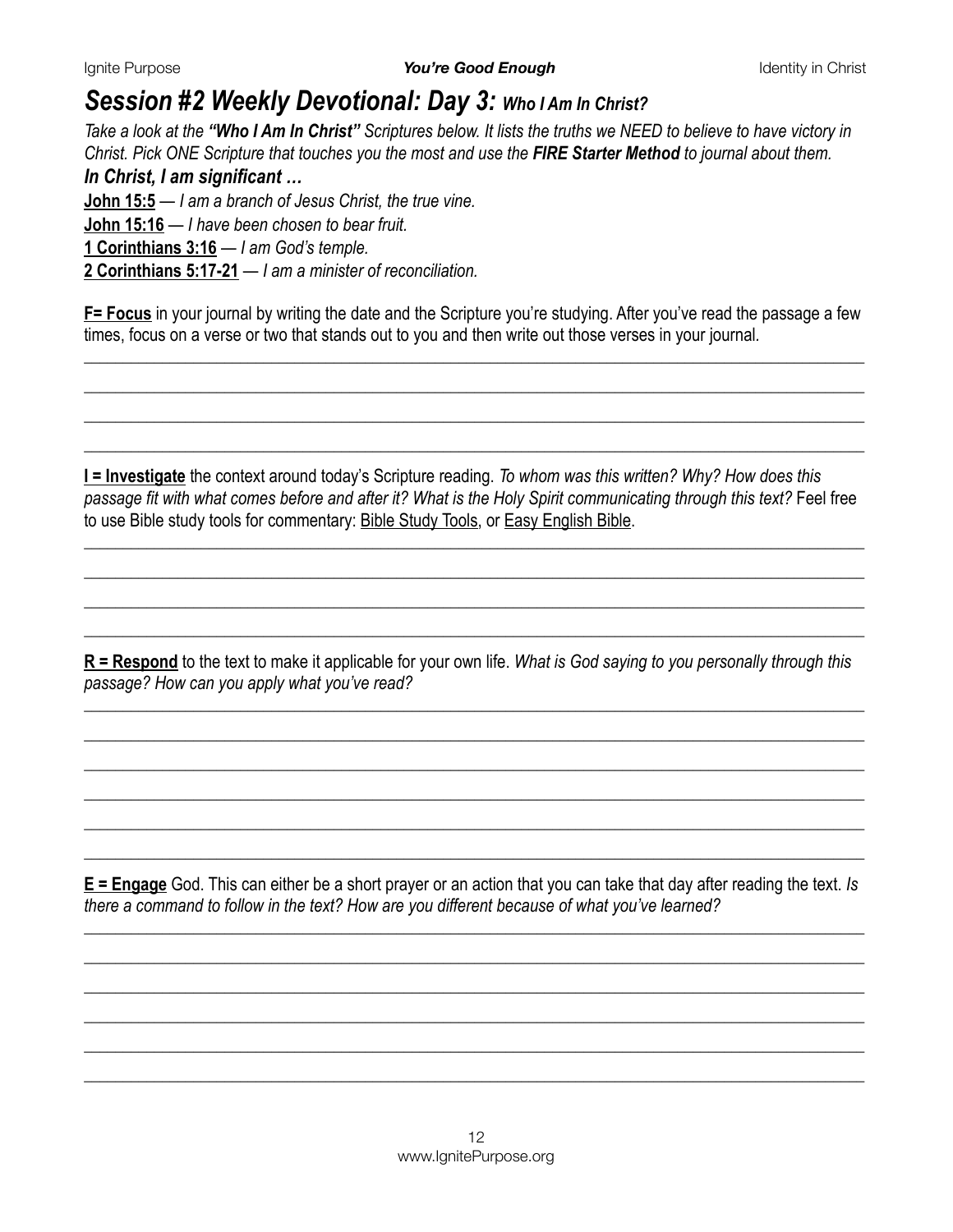# *Session #2 Weekly Devotional: Day 3: Who I Am In Christ?*

*Take a look at the "Who I Am In Christ" Scriptures below. It lists the truths we NEED to believe to have victory in Christ. Pick ONE Scripture that touches you the most and use the FIRE Starter Method to journal about them.* 

### *In Christ, I am significant …*

**[John 15:5](https://www.biblegateway.com/passage/?search=John+15%3A5&version=NIV)** — *I am a branch of Jesus Christ, the true vine.*  **[John 15:16](https://www.biblegateway.com/passage/?search=John+15%3A16&version=NIV)** — *I have been chosen to bear fruit.*  **[1 Corinthians 3:16](https://www.biblegateway.com/passage/?search=1+Corinthians+3%3A16&version=NIV)** — *I am God's temple.*  **[2 Corinthians 5:17-21](https://www.biblegateway.com/passage/?search=2+Corinthians+5%3A17-21&version=NIV)** — *I am a minister of reconciliation.* 

**F= Focus** in your journal by writing the date and the Scripture you're studying. After you've read the passage a few times, focus on a verse or two that stands out to you and then write out those verses in your journal*.*

*\_\_\_\_\_\_\_\_\_\_\_\_\_\_\_\_\_\_\_\_\_\_\_\_\_\_\_\_\_\_\_\_\_\_\_\_\_\_\_\_\_\_\_\_\_\_\_\_\_\_\_\_\_\_\_\_\_\_\_\_\_\_\_\_\_\_\_\_\_\_\_\_\_\_\_\_\_\_\_\_\_\_\_\_\_\_\_\_\_\_\_\_\_\_\_\_\_\_\_\_ \_\_\_\_\_\_\_\_\_\_\_\_\_\_\_\_\_\_\_\_\_\_\_\_\_\_\_\_\_\_\_\_\_\_\_\_\_\_\_\_\_\_\_\_\_\_\_\_\_\_\_\_\_\_\_\_\_\_\_\_\_\_\_\_\_\_\_\_\_\_\_\_\_\_\_\_\_\_\_\_\_\_\_\_\_\_\_\_\_\_\_\_\_\_\_\_\_\_\_\_ \_\_\_\_\_\_\_\_\_\_\_\_\_\_\_\_\_\_\_\_\_\_\_\_\_\_\_\_\_\_\_\_\_\_\_\_\_\_\_\_\_\_\_\_\_\_\_\_\_\_\_\_\_\_\_\_\_\_\_\_\_\_\_\_\_\_\_\_\_\_\_\_\_\_\_\_\_\_\_\_\_\_\_\_\_\_\_\_\_\_\_\_\_\_\_\_\_\_\_\_ \_\_\_\_\_\_\_\_\_\_\_\_\_\_\_\_\_\_\_\_\_\_\_\_\_\_\_\_\_\_\_\_\_\_\_\_\_\_\_\_\_\_\_\_\_\_\_\_\_\_\_\_\_\_\_\_\_\_\_\_\_\_\_\_\_\_\_\_\_\_\_\_\_\_\_\_\_\_\_\_\_\_\_\_\_\_\_\_\_\_\_\_\_\_\_\_\_\_\_\_* 

**I = Investigate** the context around today's Scripture reading. *To whom was this written? Why? How does this passage fit with what comes before and after it? What is the Holy Spirit communicating through this text?* Feel free to use Bible study tools for commentary: [Bible Study Tools](https://www.biblestudytools.com/), or [Easy English Bible.](https://www.easyenglish.bible/)

*\_\_\_\_\_\_\_\_\_\_\_\_\_\_\_\_\_\_\_\_\_\_\_\_\_\_\_\_\_\_\_\_\_\_\_\_\_\_\_\_\_\_\_\_\_\_\_\_\_\_\_\_\_\_\_\_\_\_\_\_\_\_\_\_\_\_\_\_\_\_\_\_\_\_\_\_\_\_\_\_\_\_\_\_\_\_\_\_\_\_\_\_\_\_\_\_\_\_\_\_ \_\_\_\_\_\_\_\_\_\_\_\_\_\_\_\_\_\_\_\_\_\_\_\_\_\_\_\_\_\_\_\_\_\_\_\_\_\_\_\_\_\_\_\_\_\_\_\_\_\_\_\_\_\_\_\_\_\_\_\_\_\_\_\_\_\_\_\_\_\_\_\_\_\_\_\_\_\_\_\_\_\_\_\_\_\_\_\_\_\_\_\_\_\_\_\_\_\_\_\_ \_\_\_\_\_\_\_\_\_\_\_\_\_\_\_\_\_\_\_\_\_\_\_\_\_\_\_\_\_\_\_\_\_\_\_\_\_\_\_\_\_\_\_\_\_\_\_\_\_\_\_\_\_\_\_\_\_\_\_\_\_\_\_\_\_\_\_\_\_\_\_\_\_\_\_\_\_\_\_\_\_\_\_\_\_\_\_\_\_\_\_\_\_\_\_\_\_\_\_\_ \_\_\_\_\_\_\_\_\_\_\_\_\_\_\_\_\_\_\_\_\_\_\_\_\_\_\_\_\_\_\_\_\_\_\_\_\_\_\_\_\_\_\_\_\_\_\_\_\_\_\_\_\_\_\_\_\_\_\_\_\_\_\_\_\_\_\_\_\_\_\_\_\_\_\_\_\_\_\_\_\_\_\_\_\_\_\_\_\_\_\_\_\_\_\_\_\_\_\_\_* 

**R = Respond** to the text to make it applicable for your own life. *What is God saying to you personally through this passage? How can you apply what you've read?* 

*\_\_\_\_\_\_\_\_\_\_\_\_\_\_\_\_\_\_\_\_\_\_\_\_\_\_\_\_\_\_\_\_\_\_\_\_\_\_\_\_\_\_\_\_\_\_\_\_\_\_\_\_\_\_\_\_\_\_\_\_\_\_\_\_\_\_\_\_\_\_\_\_\_\_\_\_\_\_\_\_\_\_\_\_\_\_\_\_\_\_\_\_\_\_\_\_\_\_\_\_ \_\_\_\_\_\_\_\_\_\_\_\_\_\_\_\_\_\_\_\_\_\_\_\_\_\_\_\_\_\_\_\_\_\_\_\_\_\_\_\_\_\_\_\_\_\_\_\_\_\_\_\_\_\_\_\_\_\_\_\_\_\_\_\_\_\_\_\_\_\_\_\_\_\_\_\_\_\_\_\_\_\_\_\_\_\_\_\_\_\_\_\_\_\_\_\_\_\_\_\_ \_\_\_\_\_\_\_\_\_\_\_\_\_\_\_\_\_\_\_\_\_\_\_\_\_\_\_\_\_\_\_\_\_\_\_\_\_\_\_\_\_\_\_\_\_\_\_\_\_\_\_\_\_\_\_\_\_\_\_\_\_\_\_\_\_\_\_\_\_\_\_\_\_\_\_\_\_\_\_\_\_\_\_\_\_\_\_\_\_\_\_\_\_\_\_\_\_\_\_\_ \_\_\_\_\_\_\_\_\_\_\_\_\_\_\_\_\_\_\_\_\_\_\_\_\_\_\_\_\_\_\_\_\_\_\_\_\_\_\_\_\_\_\_\_\_\_\_\_\_\_\_\_\_\_\_\_\_\_\_\_\_\_\_\_\_\_\_\_\_\_\_\_\_\_\_\_\_\_\_\_\_\_\_\_\_\_\_\_\_\_\_\_\_\_\_\_\_\_\_\_ \_\_\_\_\_\_\_\_\_\_\_\_\_\_\_\_\_\_\_\_\_\_\_\_\_\_\_\_\_\_\_\_\_\_\_\_\_\_\_\_\_\_\_\_\_\_\_\_\_\_\_\_\_\_\_\_\_\_\_\_\_\_\_\_\_\_\_\_\_\_\_\_\_\_\_\_\_\_\_\_\_\_\_\_\_\_\_\_\_\_\_\_\_\_\_\_\_\_\_\_ \_\_\_\_\_\_\_\_\_\_\_\_\_\_\_\_\_\_\_\_\_\_\_\_\_\_\_\_\_\_\_\_\_\_\_\_\_\_\_\_\_\_\_\_\_\_\_\_\_\_\_\_\_\_\_\_\_\_\_\_\_\_\_\_\_\_\_\_\_\_\_\_\_\_\_\_\_\_\_\_\_\_\_\_\_\_\_\_\_\_\_\_\_\_\_\_\_\_\_\_* 

**E = Engage** God. This can either be a short prayer or an action that you can take that day after reading the text. *Is there a command to follow in the text? How are you different because of what you've learned?*

*\_\_\_\_\_\_\_\_\_\_\_\_\_\_\_\_\_\_\_\_\_\_\_\_\_\_\_\_\_\_\_\_\_\_\_\_\_\_\_\_\_\_\_\_\_\_\_\_\_\_\_\_\_\_\_\_\_\_\_\_\_\_\_\_\_\_\_\_\_\_\_\_\_\_\_\_\_\_\_\_\_\_\_\_\_\_\_\_\_\_\_\_\_\_\_\_\_\_\_\_ \_\_\_\_\_\_\_\_\_\_\_\_\_\_\_\_\_\_\_\_\_\_\_\_\_\_\_\_\_\_\_\_\_\_\_\_\_\_\_\_\_\_\_\_\_\_\_\_\_\_\_\_\_\_\_\_\_\_\_\_\_\_\_\_\_\_\_\_\_\_\_\_\_\_\_\_\_\_\_\_\_\_\_\_\_\_\_\_\_\_\_\_\_\_\_\_\_\_\_\_ \_\_\_\_\_\_\_\_\_\_\_\_\_\_\_\_\_\_\_\_\_\_\_\_\_\_\_\_\_\_\_\_\_\_\_\_\_\_\_\_\_\_\_\_\_\_\_\_\_\_\_\_\_\_\_\_\_\_\_\_\_\_\_\_\_\_\_\_\_\_\_\_\_\_\_\_\_\_\_\_\_\_\_\_\_\_\_\_\_\_\_\_\_\_\_\_\_\_\_\_ \_\_\_\_\_\_\_\_\_\_\_\_\_\_\_\_\_\_\_\_\_\_\_\_\_\_\_\_\_\_\_\_\_\_\_\_\_\_\_\_\_\_\_\_\_\_\_\_\_\_\_\_\_\_\_\_\_\_\_\_\_\_\_\_\_\_\_\_\_\_\_\_\_\_\_\_\_\_\_\_\_\_\_\_\_\_\_\_\_\_\_\_\_\_\_\_\_\_\_\_ \_\_\_\_\_\_\_\_\_\_\_\_\_\_\_\_\_\_\_\_\_\_\_\_\_\_\_\_\_\_\_\_\_\_\_\_\_\_\_\_\_\_\_\_\_\_\_\_\_\_\_\_\_\_\_\_\_\_\_\_\_\_\_\_\_\_\_\_\_\_\_\_\_\_\_\_\_\_\_\_\_\_\_\_\_\_\_\_\_\_\_\_\_\_\_\_\_\_\_\_ \_\_\_\_\_\_\_\_\_\_\_\_\_\_\_\_\_\_\_\_\_\_\_\_\_\_\_\_\_\_\_\_\_\_\_\_\_\_\_\_\_\_\_\_\_\_\_\_\_\_\_\_\_\_\_\_\_\_\_\_\_\_\_\_\_\_\_\_\_\_\_\_\_\_\_\_\_\_\_\_\_\_\_\_\_\_\_\_\_\_\_\_\_\_\_\_\_\_\_\_*